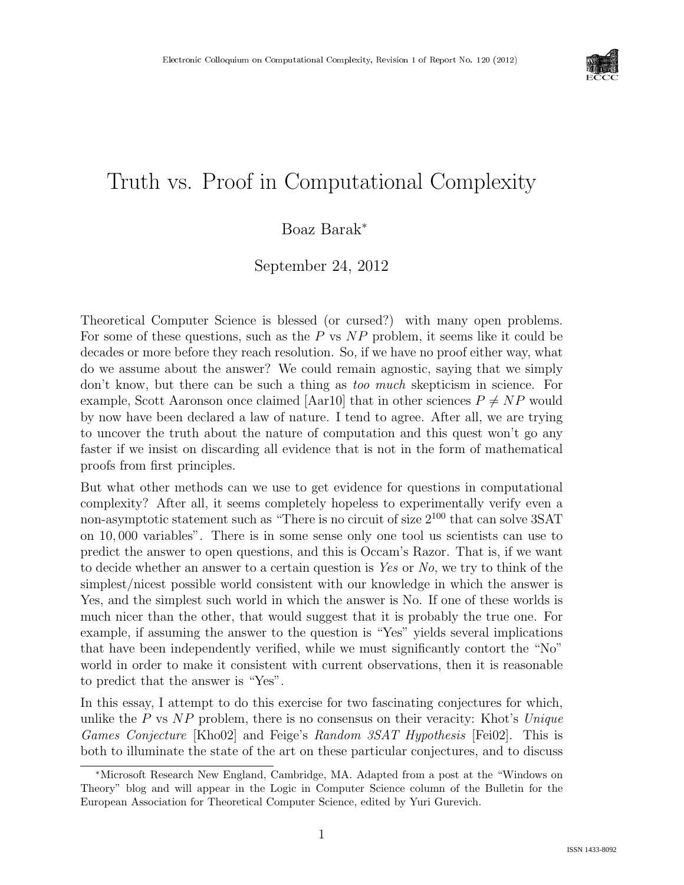

# Truth vs. Proof in Computational Complexity

### Boaz Barak<sup>∗</sup>

September 24, 2012

Theoretical Computer Science is blessed (or cursed?) with many open problems. For some of these questions, such as the P vs NP problem, it seems like it could be decades or more before they reach resolution. So, if we have no proof either way, what do we assume about the answer? We could remain agnostic, saying that we simply don't know, but there can be such a thing as too much skepticism in science. For example, Scott Aaronson once claimed [Aar10] that in other sciences  $P \neq NP$  would by now have been declared a law of nature. I tend to agree. After all, we are trying to uncover the truth about the nature of computation and this quest won't go any faster if we insist on discarding all evidence that is not in the form of mathematical proofs from first principles.

But what other methods can we use to get evidence for questions in computational complexity? After all, it seems completely hopeless to experimentally verify even a non-asymptotic statement such as "There is no circuit of size  $2^{100}$  that can solve 3SAT on 10, 000 variables". There is in some sense only one tool us scientists can use to predict the answer to open questions, and this is Occam's Razor. That is, if we want to decide whether an answer to a certain question is Yes or No, we try to think of the simplest/nicest possible world consistent with our knowledge in which the answer is Yes, and the simplest such world in which the answer is No. If one of these worlds is much nicer than the other, that would suggest that it is probably the true one. For example, if assuming the answer to the question is "Yes" yields several implications that have been independently verified, while we must significantly contort the "No" world in order to make it consistent with current observations, then it is reasonable to predict that the answer is "Yes".

In this essay, I attempt to do this exercise for two fascinating conjectures for which, unlike the P vs  $NP$  problem, there is no consensus on their veracity: Khot's Unique Games Conjecture [Kho02] and Feige's Random 3SAT Hypothesis [Fei02]. This is both to illuminate the state of the art on these particular conjectures, and to discuss

<sup>∗</sup>Microsoft Research New England, Cambridge, MA. Adapted from a post at the "Windows on Theory" blog and will appear in the Logic in Computer Science column of the Bulletin for the European Association for Theoretical Computer Science, edited by Yuri Gurevich.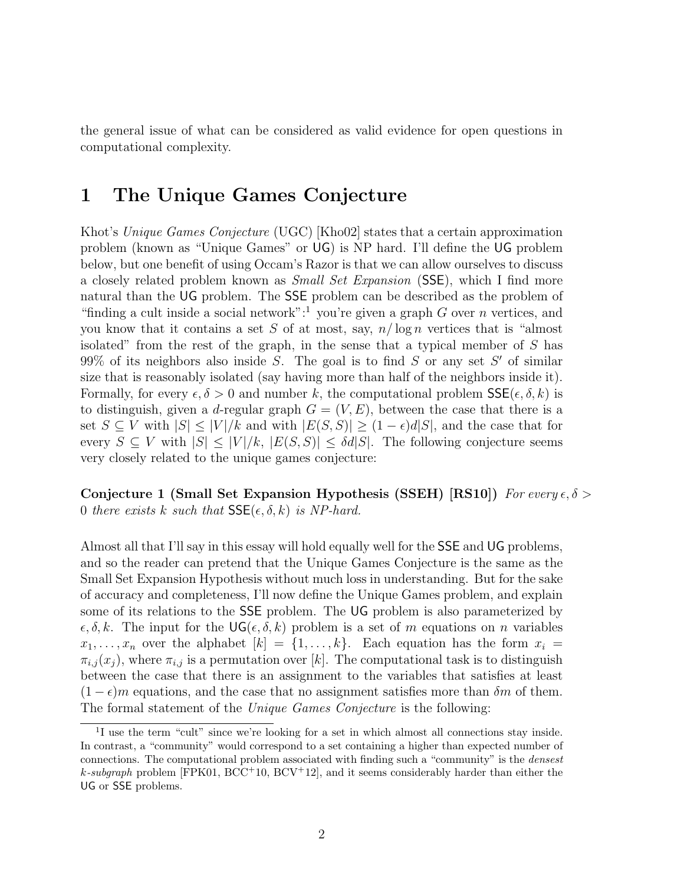the general issue of what can be considered as valid evidence for open questions in computational complexity.

### 1 The Unique Games Conjecture

Khot's Unique Games Conjecture (UGC) [Kho02] states that a certain approximation problem (known as "Unique Games" or UG) is NP hard. I'll define the UG problem below, but one benefit of using Occam's Razor is that we can allow ourselves to discuss a closely related problem known as Small Set Expansion (SSE), which I find more natural than the UG problem. The SSE problem can be described as the problem of "finding a cult inside a social network":<sup>1</sup> you're given a graph G over n vertices, and you know that it contains a set S of at most, say,  $n/\log n$  vertices that is "almost" isolated" from the rest of the graph, in the sense that a typical member of S has  $99\%$  of its neighbors also inside S. The goal is to find S or any set S' of similar size that is reasonably isolated (say having more than half of the neighbors inside it). Formally, for every  $\epsilon, \delta > 0$  and number k, the computational problem  $\mathsf{SSE}(\epsilon, \delta, k)$  is to distinguish, given a d-regular graph  $G = (V, E)$ , between the case that there is a set  $S \subseteq V$  with  $|S| \leq |V|/k$  and with  $|E(S, S)| \geq (1 - \epsilon)d|S|$ , and the case that for every  $S \subseteq V$  with  $|S| \leq |V|/k$ ,  $|E(S, S)| \leq \delta d|S|$ . The following conjecture seems very closely related to the unique games conjecture:

Conjecture 1 (Small Set Expansion Hypothesis (SSEH) [RS10]) For every  $\epsilon, \delta$  > 0 there exists k such that  $\mathsf{SSE}(\epsilon, \delta, k)$  is NP-hard.

Almost all that I'll say in this essay will hold equally well for the SSE and UG problems, and so the reader can pretend that the Unique Games Conjecture is the same as the Small Set Expansion Hypothesis without much loss in understanding. But for the sake of accuracy and completeness, I'll now define the Unique Games problem, and explain some of its relations to the SSE problem. The UG problem is also parameterized by  $\epsilon, \delta, k$ . The input for the UG( $\epsilon, \delta, k$ ) problem is a set of m equations on n variables  $x_1, \ldots, x_n$  over the alphabet  $[k] = \{1, \ldots, k\}$ . Each equation has the form  $x_i =$  $\pi_{i,j}(x_j)$ , where  $\pi_{i,j}$  is a permutation over [k]. The computational task is to distinguish between the case that there is an assignment to the variables that satisfies at least  $(1 - \epsilon)m$  equations, and the case that no assignment satisfies more than  $\delta m$  of them. The formal statement of the Unique Games Conjecture is the following:

<sup>&</sup>lt;sup>1</sup>I use the term "cult" since we're looking for a set in which almost all connections stay inside. In contrast, a "community" would correspond to a set containing a higher than expected number of connections. The computational problem associated with finding such a "community" is the densest k-subgraph problem [FPK01,  $BCC^+10$ ,  $BCV^+12$ ], and it seems considerably harder than either the UG or SSE problems.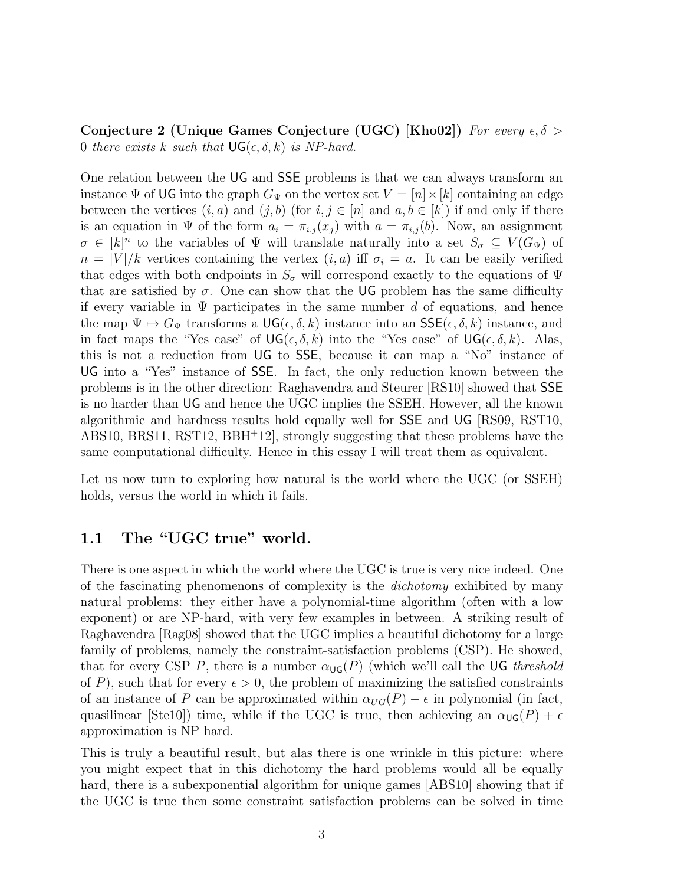Conjecture 2 (Unique Games Conjecture (UGC) [Kho02]) For every  $\epsilon, \delta$  > 0 there exists k such that  $\mathsf{UG}(\epsilon, \delta, k)$  is NP-hard.

One relation between the UG and SSE problems is that we can always transform an instance  $\Psi$  of UG into the graph  $G_{\Psi}$  on the vertex set  $V = [n] \times [k]$  containing an edge between the vertices  $(i, a)$  and  $(j, b)$  (for  $i, j \in [n]$  and  $a, b \in [k]$ ) if and only if there is an equation in  $\Psi$  of the form  $a_i = \pi_{i,j}(x_j)$  with  $a = \pi_{i,j}(b)$ . Now, an assignment  $\sigma \in [k]^n$  to the variables of  $\Psi$  will translate naturally into a set  $S_{\sigma} \subseteq V(G_{\Psi})$  of  $n = |V|/k$  vertices containing the vertex  $(i, a)$  iff  $\sigma_i = a$ . It can be easily verified that edges with both endpoints in  $S_{\sigma}$  will correspond exactly to the equations of  $\Psi$ that are satisfied by  $\sigma$ . One can show that the UG problem has the same difficulty if every variable in  $\Psi$  participates in the same number d of equations, and hence the map  $\Psi \mapsto G_{\Psi}$  transforms a  $\mathsf{UG}(\epsilon, \delta, k)$  instance into an  $\mathsf{SSE}(\epsilon, \delta, k)$  instance, and in fact maps the "Yes case" of  $\mathsf{UG}(\epsilon, \delta, k)$  into the "Yes case" of  $\mathsf{UG}(\epsilon, \delta, k)$ . Alas, this is not a reduction from UG to SSE, because it can map a "No" instance of UG into a "Yes" instance of SSE. In fact, the only reduction known between the problems is in the other direction: Raghavendra and Steurer [RS10] showed that SSE is no harder than UG and hence the UGC implies the SSEH. However, all the known algorithmic and hardness results hold equally well for SSE and UG [RS09, RST10, ABS10, BRS11, RST12, BBH<sup>+</sup>12], strongly suggesting that these problems have the same computational difficulty. Hence in this essay I will treat them as equivalent.

Let us now turn to exploring how natural is the world where the UGC (or SSEH) holds, versus the world in which it fails.

### 1.1 The "UGC true" world.

There is one aspect in which the world where the UGC is true is very nice indeed. One of the fascinating phenomenons of complexity is the *dichotomy* exhibited by many natural problems: they either have a polynomial-time algorithm (often with a low exponent) or are NP-hard, with very few examples in between. A striking result of Raghavendra [Rag08] showed that the UGC implies a beautiful dichotomy for a large family of problems, namely the constraint-satisfaction problems (CSP). He showed, that for every CSP P, there is a number  $\alpha_{\text{UG}}(P)$  (which we'll call the UG threshold of P), such that for every  $\epsilon > 0$ , the problem of maximizing the satisfied constraints of an instance of P can be approximated within  $\alpha_{UG}(P) - \epsilon$  in polynomial (in fact, quasilinear [Ste10]) time, while if the UGC is true, then achieving an  $\alpha_{\text{UG}}(P) + \epsilon$ approximation is NP hard.

This is truly a beautiful result, but alas there is one wrinkle in this picture: where you might expect that in this dichotomy the hard problems would all be equally hard, there is a subexponential algorithm for unique games [ABS10] showing that if the UGC is true then some constraint satisfaction problems can be solved in time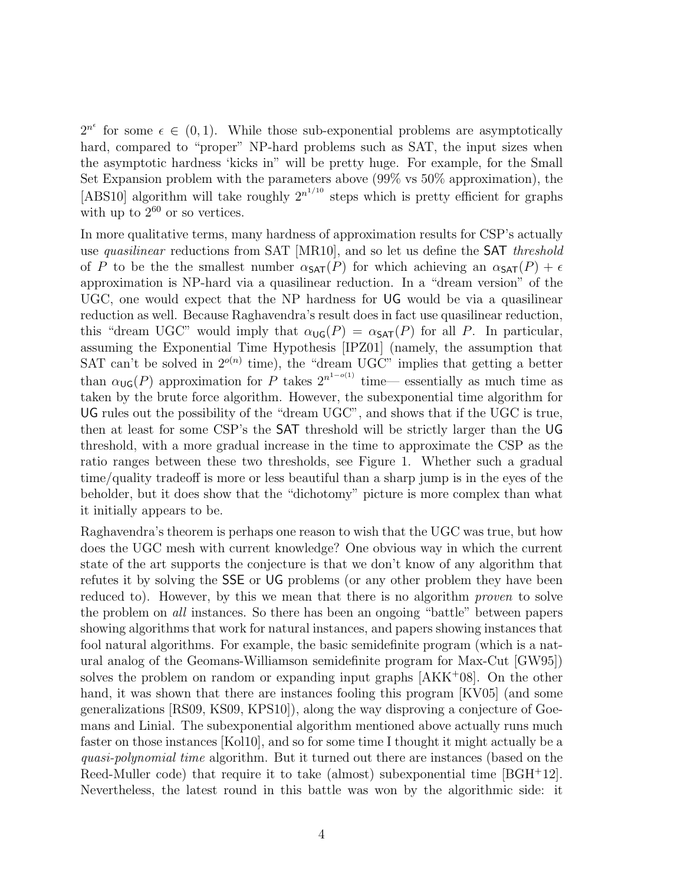$2^{n^{\epsilon}}$  for some  $\epsilon \in (0,1)$ . While those sub-exponential problems are asymptotically hard, compared to "proper" NP-hard problems such as SAT, the input sizes when the asymptotic hardness 'kicks in" will be pretty huge. For example, for the Small Set Expansion problem with the parameters above (99% vs 50% approximation), the [ABS10] algorithm will take roughly  $2^{n^{1/10}}$  steps which is pretty efficient for graphs with up to  $2^{60}$  or so vertices.

In more qualitative terms, many hardness of approximation results for CSP's actually use *quasilinear* reductions from SAT [MR10], and so let us define the **SAT** threshold of P to be the smallest number  $\alpha_{\text{SAT}}(P)$  for which achieving an  $\alpha_{\text{SAT}}(P) + \epsilon$ approximation is NP-hard via a quasilinear reduction. In a "dream version" of the UGC, one would expect that the NP hardness for UG would be via a quasilinear reduction as well. Because Raghavendra's result does in fact use quasilinear reduction, this "dream UGC" would imply that  $\alpha_{\text{UG}}(P) = \alpha_{\text{SAT}}(P)$  for all P. In particular, assuming the Exponential Time Hypothesis [IPZ01] (namely, the assumption that SAT can't be solved in  $2^{o(n)}$  time), the "dream UGC" implies that getting a better than  $\alpha_{\mathsf{UG}}(P)$  approximation for P takes  $2^{n^{1-o(1)}}$  time— essentially as much time as taken by the brute force algorithm. However, the subexponential time algorithm for UG rules out the possibility of the "dream UGC", and shows that if the UGC is true, then at least for some CSP's the SAT threshold will be strictly larger than the UG threshold, with a more gradual increase in the time to approximate the CSP as the ratio ranges between these two thresholds, see Figure 1. Whether such a gradual time/quality tradeoff is more or less beautiful than a sharp jump is in the eyes of the beholder, but it does show that the "dichotomy" picture is more complex than what it initially appears to be.

Raghavendra's theorem is perhaps one reason to wish that the UGC was true, but how does the UGC mesh with current knowledge? One obvious way in which the current state of the art supports the conjecture is that we don't know of any algorithm that refutes it by solving the SSE or UG problems (or any other problem they have been reduced to). However, by this we mean that there is no algorithm *proven* to solve the problem on all instances. So there has been an ongoing "battle" between papers showing algorithms that work for natural instances, and papers showing instances that fool natural algorithms. For example, the basic semidefinite program (which is a natural analog of the Geomans-Williamson semidefinite program for Max-Cut [GW95]) solves the problem on random or expanding input graphs [AKK<sup>+</sup>08]. On the other hand, it was shown that there are instances fooling this program [KV05] (and some generalizations [RS09, KS09, KPS10]), along the way disproving a conjecture of Goemans and Linial. The subexponential algorithm mentioned above actually runs much faster on those instances [Kol10], and so for some time I thought it might actually be a quasi-polynomial time algorithm. But it turned out there are instances (based on the Reed-Muller code) that require it to take (almost) subexponential time [BGH<sup>+</sup>12]. Nevertheless, the latest round in this battle was won by the algorithmic side: it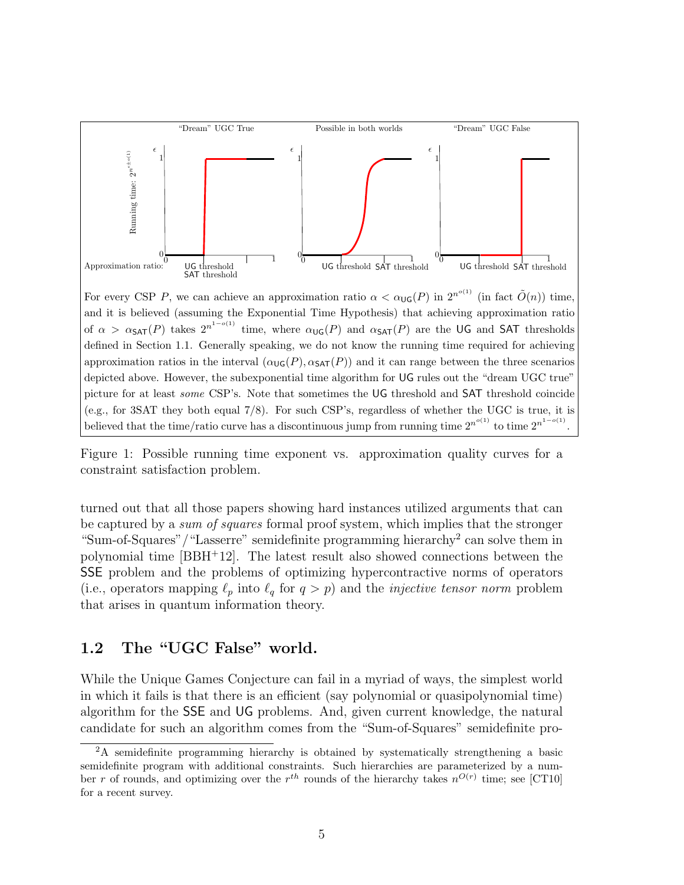

For every CSP P, we can achieve an approximation ratio  $\alpha < \alpha_{\text{UG}}(P)$  in  $2^{n^{\circ(1)}}$  (in fact  $\tilde{O}(n)$ ) time, and it is believed (assuming the Exponential Time Hypothesis) that achieving approximation ratio of  $\alpha > \alpha$ SAT $(P)$  takes  $2^{n^{1-o(1)}}$  time, where  $\alpha$ <sub>UG</sub> $(P)$  and  $\alpha$ SAT $(P)$  are the UG and SAT thresholds defined in Section 1.1. Generally speaking, we do not know the running time required for achieving approximation ratios in the interval  $(\alpha_{\text{UG}}(P), \alpha_{\text{SAT}}(P))$  and it can range between the three scenarios depicted above. However, the subexponential time algorithm for UG rules out the "dream UGC true" picture for at least some CSP's. Note that sometimes the UG threshold and SAT threshold coincide (e.g., for 3SAT they both equal 7/8). For such CSP's, regardless of whether the UGC is true, it is believed that the time/ratio curve has a discontinuous jump from running time  $2^{n^{o(1)}}$  to time  $2^{n^{1-o(1)}}$ .

Figure 1: Possible running time exponent vs. approximation quality curves for a constraint satisfaction problem.

turned out that all those papers showing hard instances utilized arguments that can be captured by a sum of squares formal proof system, which implies that the stronger "Sum-of-Squares"/"Lasserre" semidefinite programming hierarchy<sup>2</sup> can solve them in polynomial time  $[BBH<sup>+</sup>12]$ . The latest result also showed connections between the SSE problem and the problems of optimizing hypercontractive norms of operators (i.e., operators mapping  $\ell_p$  into  $\ell_q$  for  $q > p$ ) and the *injective tensor norm* problem that arises in quantum information theory.

#### 1.2 The "UGC False" world.

While the Unique Games Conjecture can fail in a myriad of ways, the simplest world in which it fails is that there is an efficient (say polynomial or quasipolynomial time) algorithm for the SSE and UG problems. And, given current knowledge, the natural candidate for such an algorithm comes from the "Sum-of-Squares" semidefinite pro-

<sup>&</sup>lt;sup>2</sup>A semidefinite programming hierarchy is obtained by systematically strengthening a basic semidefinite program with additional constraints. Such hierarchies are parameterized by a number r of rounds, and optimizing over the  $r^{th}$  rounds of the hierarchy takes  $n^{O(r)}$  time; see [CT10] for a recent survey.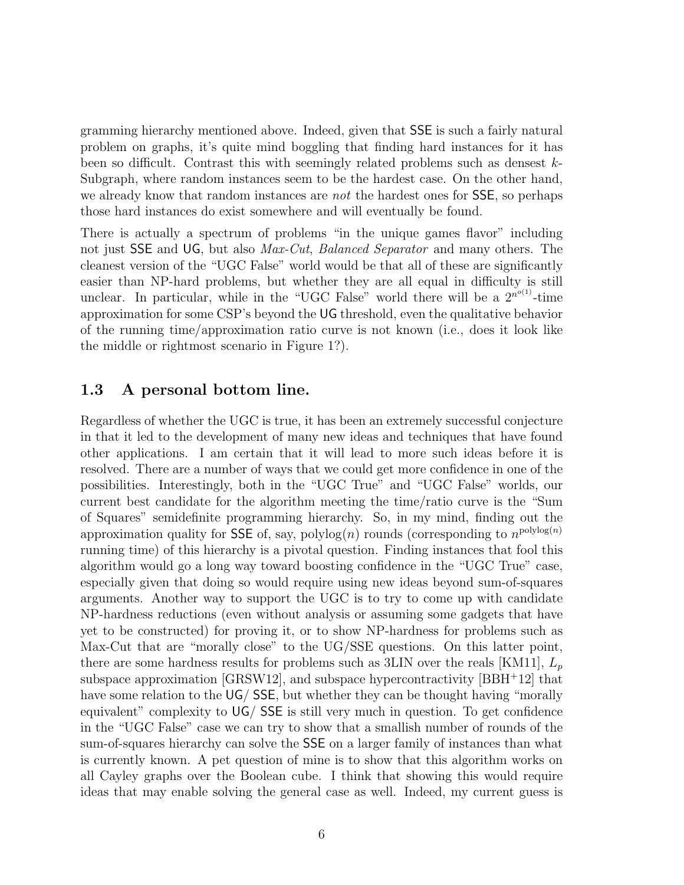gramming hierarchy mentioned above. Indeed, given that SSE is such a fairly natural problem on graphs, it's quite mind boggling that finding hard instances for it has been so difficult. Contrast this with seemingly related problems such as densest k-Subgraph, where random instances seem to be the hardest case. On the other hand, we already know that random instances are *not* the hardest ones for SSE, so perhaps those hard instances do exist somewhere and will eventually be found.

There is actually a spectrum of problems "in the unique games flavor" including not just SSE and UG, but also *Max-Cut*, *Balanced Separator* and many others. The cleanest version of the "UGC False" world would be that all of these are significantly easier than NP-hard problems, but whether they are all equal in difficulty is still unclear. In particular, while in the "UGC False" world there will be a  $2^{n^{o(1)}}$ -time approximation for some CSP's beyond the UG threshold, even the qualitative behavior of the running time/approximation ratio curve is not known (i.e., does it look like the middle or rightmost scenario in Figure 1?).

### 1.3 A personal bottom line.

Regardless of whether the UGC is true, it has been an extremely successful conjecture in that it led to the development of many new ideas and techniques that have found other applications. I am certain that it will lead to more such ideas before it is resolved. There are a number of ways that we could get more confidence in one of the possibilities. Interestingly, both in the "UGC True" and "UGC False" worlds, our current best candidate for the algorithm meeting the time/ratio curve is the "Sum of Squares" semidefinite programming hierarchy. So, in my mind, finding out the approximation quality for SSE of, say,  $\text{polylog}(n)$  rounds (corresponding to  $n^{\text{polylog}(n)}$ ) running time) of this hierarchy is a pivotal question. Finding instances that fool this algorithm would go a long way toward boosting confidence in the "UGC True" case, especially given that doing so would require using new ideas beyond sum-of-squares arguments. Another way to support the UGC is to try to come up with candidate NP-hardness reductions (even without analysis or assuming some gadgets that have yet to be constructed) for proving it, or to show NP-hardness for problems such as Max-Cut that are "morally close" to the UG/SSE questions. On this latter point, there are some hardness results for problems such as 3LIN over the reals [KM11],  $L_p$ subspace approximation  $\left[\text{GRSW12}\right]$ , and subspace hypercontractivity  $\left[\text{BBH}^+12\right]$  that have some relation to the UG/SSE, but whether they can be thought having "morally equivalent" complexity to UG/ SSE is still very much in question. To get confidence in the "UGC False" case we can try to show that a smallish number of rounds of the sum-of-squares hierarchy can solve the SSE on a larger family of instances than what is currently known. A pet question of mine is to show that this algorithm works on all Cayley graphs over the Boolean cube. I think that showing this would require ideas that may enable solving the general case as well. Indeed, my current guess is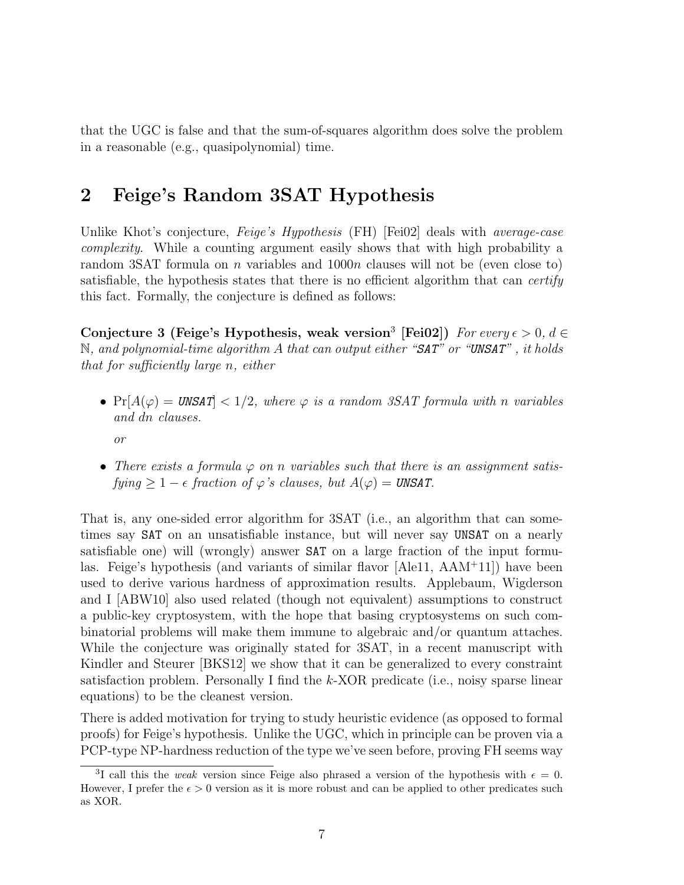that the UGC is false and that the sum-of-squares algorithm does solve the problem in a reasonable (e.g., quasipolynomial) time.

### 2 Feige's Random 3SAT Hypothesis

Unlike Khot's conjecture, *Feige's Hypothesis* (FH) [Fei02] deals with *average-case* complexity. While a counting argument easily shows that with high probability a random 3SAT formula on n variables and 1000n clauses will not be (even close to) satisfiable, the hypothesis states that there is no efficient algorithm that can *certify* this fact. Formally, the conjecture is defined as follows:

Conjecture 3 (Feige's Hypothesis, weak version<sup>3</sup> [Fei02]) For every  $\epsilon > 0$ ,  $d \in$  $\mathbb N$ , and polynomial-time algorithm A that can output either "SAT" or "UNSAT", it holds that for sufficiently large n, either

•  $Pr[A(\varphi) = UNSAT] < 1/2$ , where  $\varphi$  is a random 3SAT formula with n variables and dn clauses.

or

• There exists a formula  $\varphi$  on n variables such that there is an assignment satis $fying \geq 1 - \epsilon$  fraction of  $\varphi$ 's clauses, but  $A(\varphi) = \text{UNSAT}$ .

That is, any one-sided error algorithm for 3SAT (i.e., an algorithm that can sometimes say SAT on an unsatisfiable instance, but will never say UNSAT on a nearly satisfiable one) will (wrongly) answer SAT on a large fraction of the input formulas. Feige's hypothesis (and variants of similar flavor [Ale11, AAM<sup>+</sup>11]) have been used to derive various hardness of approximation results. Applebaum, Wigderson and I [ABW10] also used related (though not equivalent) assumptions to construct a public-key cryptosystem, with the hope that basing cryptosystems on such combinatorial problems will make them immune to algebraic and/or quantum attaches. While the conjecture was originally stated for 3SAT, in a recent manuscript with Kindler and Steurer [BKS12] we show that it can be generalized to every constraint satisfaction problem. Personally I find the k-XOR predicate (i.e., noisy sparse linear equations) to be the cleanest version.

There is added motivation for trying to study heuristic evidence (as opposed to formal proofs) for Feige's hypothesis. Unlike the UGC, which in principle can be proven via a PCP-type NP-hardness reduction of the type we've seen before, proving FH seems way

<sup>&</sup>lt;sup>3</sup>I call this the *weak* version since Feige also phrased a version of the hypothesis with  $\epsilon = 0$ . However, I prefer the  $\epsilon > 0$  version as it is more robust and can be applied to other predicates such as XOR.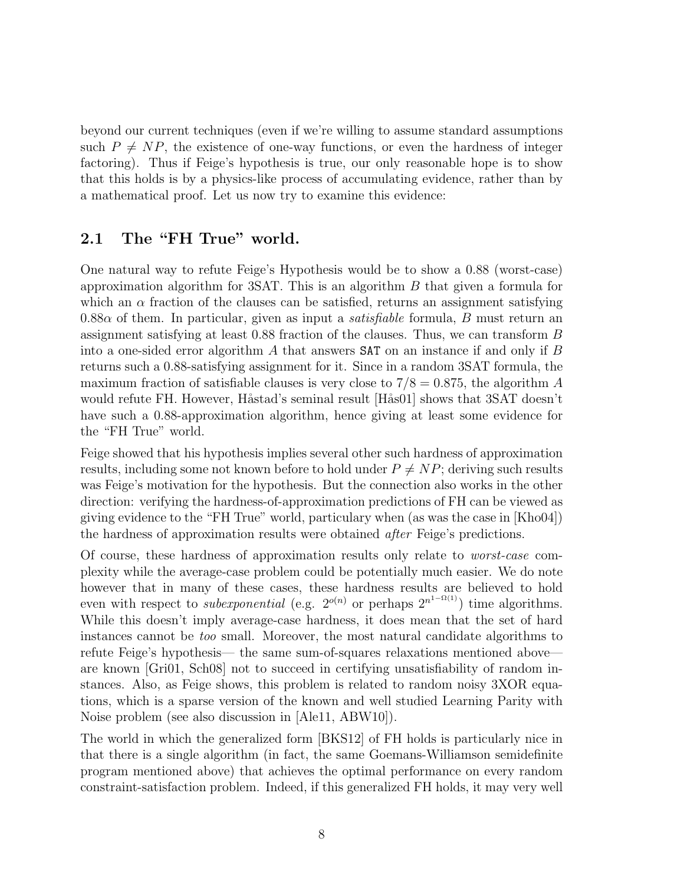beyond our current techniques (even if we're willing to assume standard assumptions such  $P \neq NP$ , the existence of one-way functions, or even the hardness of integer factoring). Thus if Feige's hypothesis is true, our only reasonable hope is to show that this holds is by a physics-like process of accumulating evidence, rather than by a mathematical proof. Let us now try to examine this evidence:

### 2.1 The "FH True" world.

One natural way to refute Feige's Hypothesis would be to show a 0.88 (worst-case) approximation algorithm for 3SAT. This is an algorithm  $B$  that given a formula for which an  $\alpha$  fraction of the clauses can be satisfied, returns an assignment satisfying  $0.88\alpha$  of them. In particular, given as input a *satisfiable* formula, B must return an assignment satisfying at least 0.88 fraction of the clauses. Thus, we can transform B into a one-sided error algorithm  $\tilde{A}$  that answers **SAT** on an instance if and only if  $\tilde{B}$ returns such a 0.88-satisfying assignment for it. Since in a random 3SAT formula, the maximum fraction of satisfiable clauses is very close to  $7/8 = 0.875$ , the algorithm A would refute FH. However, Håstad's seminal result [Hås01] shows that 3SAT doesn't have such a 0.88-approximation algorithm, hence giving at least some evidence for the "FH True" world.

Feige showed that his hypothesis implies several other such hardness of approximation results, including some not known before to hold under  $P \neq NP$ ; deriving such results was Feige's motivation for the hypothesis. But the connection also works in the other direction: verifying the hardness-of-approximation predictions of FH can be viewed as giving evidence to the "FH True" world, particulary when (as was the case in [Kho04]) the hardness of approximation results were obtained after Feige's predictions.

Of course, these hardness of approximation results only relate to worst-case complexity while the average-case problem could be potentially much easier. We do note however that in many of these cases, these hardness results are believed to hold even with respect to *subexponential* (e.g.  $2^{o(n)}$  or perhaps  $2^{n^{1-\Omega(1)}}$ ) time algorithms. While this doesn't imply average-case hardness, it does mean that the set of hard instances cannot be too small. Moreover, the most natural candidate algorithms to refute Feige's hypothesis— the same sum-of-squares relaxations mentioned above are known [Gri01, Sch08] not to succeed in certifying unsatisfiability of random instances. Also, as Feige shows, this problem is related to random noisy 3XOR equations, which is a sparse version of the known and well studied Learning Parity with Noise problem (see also discussion in [Ale11, ABW10]).

The world in which the generalized form [BKS12] of FH holds is particularly nice in that there is a single algorithm (in fact, the same Goemans-Williamson semidefinite program mentioned above) that achieves the optimal performance on every random constraint-satisfaction problem. Indeed, if this generalized FH holds, it may very well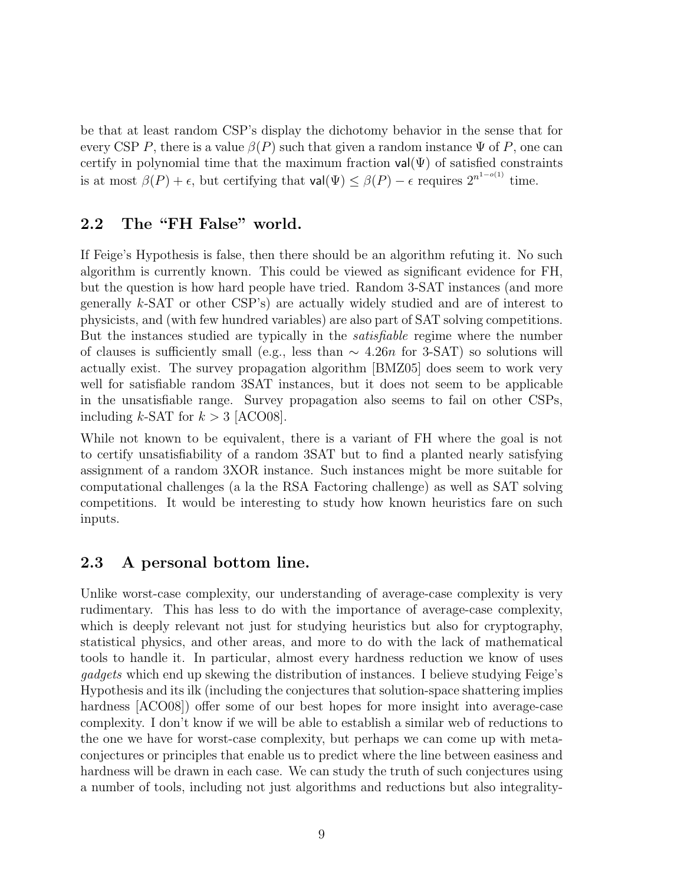be that at least random CSP's display the dichotomy behavior in the sense that for every CSP P, there is a value  $\beta(P)$  such that given a random instance  $\Psi$  of P, one can certify in polynomial time that the maximum fraction  $\mathsf{val}(\Psi)$  of satisfied constraints is at most  $\beta(P) + \epsilon$ , but certifying that  $\mathsf{val}(\Psi) \leq \beta(P) - \epsilon$  requires  $2^{n^{1-o(1)}}$  time.

#### 2.2 The "FH False" world.

If Feige's Hypothesis is false, then there should be an algorithm refuting it. No such algorithm is currently known. This could be viewed as significant evidence for FH, but the question is how hard people have tried. Random 3-SAT instances (and more generally k-SAT or other CSP's) are actually widely studied and are of interest to physicists, and (with few hundred variables) are also part of SAT solving competitions. But the instances studied are typically in the satisfiable regime where the number of clauses is sufficiently small (e.g., less than  $\sim 4.26n$  for 3-SAT) so solutions will actually exist. The survey propagation algorithm [BMZ05] does seem to work very well for satisfiable random 3SAT instances, but it does not seem to be applicable in the unsatisfiable range. Survey propagation also seems to fail on other CSPs, including  $k$ -SAT for  $k > 3$  [ACO08].

While not known to be equivalent, there is a variant of FH where the goal is not to certify unsatisfiability of a random 3SAT but to find a planted nearly satisfying assignment of a random 3XOR instance. Such instances might be more suitable for computational challenges (a la the RSA Factoring challenge) as well as SAT solving competitions. It would be interesting to study how known heuristics fare on such inputs.

### 2.3 A personal bottom line.

Unlike worst-case complexity, our understanding of average-case complexity is very rudimentary. This has less to do with the importance of average-case complexity, which is deeply relevant not just for studying heuristics but also for cryptography, statistical physics, and other areas, and more to do with the lack of mathematical tools to handle it. In particular, almost every hardness reduction we know of uses gadgets which end up skewing the distribution of instances. I believe studying Feige's Hypothesis and its ilk (including the conjectures that solution-space shattering implies hardness  $[ACOO8]$  offer some of our best hopes for more insight into average-case complexity. I don't know if we will be able to establish a similar web of reductions to the one we have for worst-case complexity, but perhaps we can come up with metaconjectures or principles that enable us to predict where the line between easiness and hardness will be drawn in each case. We can study the truth of such conjectures using a number of tools, including not just algorithms and reductions but also integrality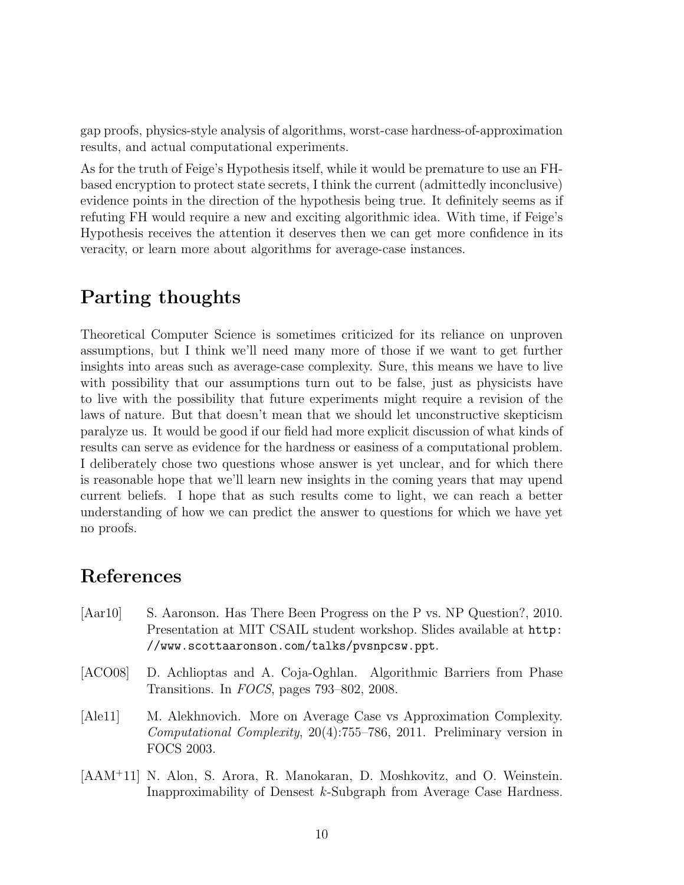gap proofs, physics-style analysis of algorithms, worst-case hardness-of-approximation results, and actual computational experiments.

As for the truth of Feige's Hypothesis itself, while it would be premature to use an FHbased encryption to protect state secrets, I think the current (admittedly inconclusive) evidence points in the direction of the hypothesis being true. It definitely seems as if refuting FH would require a new and exciting algorithmic idea. With time, if Feige's Hypothesis receives the attention it deserves then we can get more confidence in its veracity, or learn more about algorithms for average-case instances.

## Parting thoughts

Theoretical Computer Science is sometimes criticized for its reliance on unproven assumptions, but I think we'll need many more of those if we want to get further insights into areas such as average-case complexity. Sure, this means we have to live with possibility that our assumptions turn out to be false, just as physicists have to live with the possibility that future experiments might require a revision of the laws of nature. But that doesn't mean that we should let unconstructive skepticism paralyze us. It would be good if our field had more explicit discussion of what kinds of results can serve as evidence for the hardness or easiness of a computational problem. I deliberately chose two questions whose answer is yet unclear, and for which there is reasonable hope that we'll learn new insights in the coming years that may upend current beliefs. I hope that as such results come to light, we can reach a better understanding of how we can predict the answer to questions for which we have yet no proofs.

## References

- [Aar10] S. Aaronson. Has There Been Progress on the P vs. NP Question?, 2010. Presentation at MIT CSAIL student workshop. Slides available at http: //www.scottaaronson.com/talks/pvsnpcsw.ppt.
- [ACO08] D. Achlioptas and A. Coja-Oghlan. Algorithmic Barriers from Phase Transitions. In FOCS, pages 793–802, 2008.
- [Ale11] M. Alekhnovich. More on Average Case vs Approximation Complexity. Computational Complexity, 20(4):755–786, 2011. Preliminary version in FOCS 2003.
- [AAM<sup>+</sup>11] N. Alon, S. Arora, R. Manokaran, D. Moshkovitz, and O. Weinstein. Inapproximability of Densest k-Subgraph from Average Case Hardness.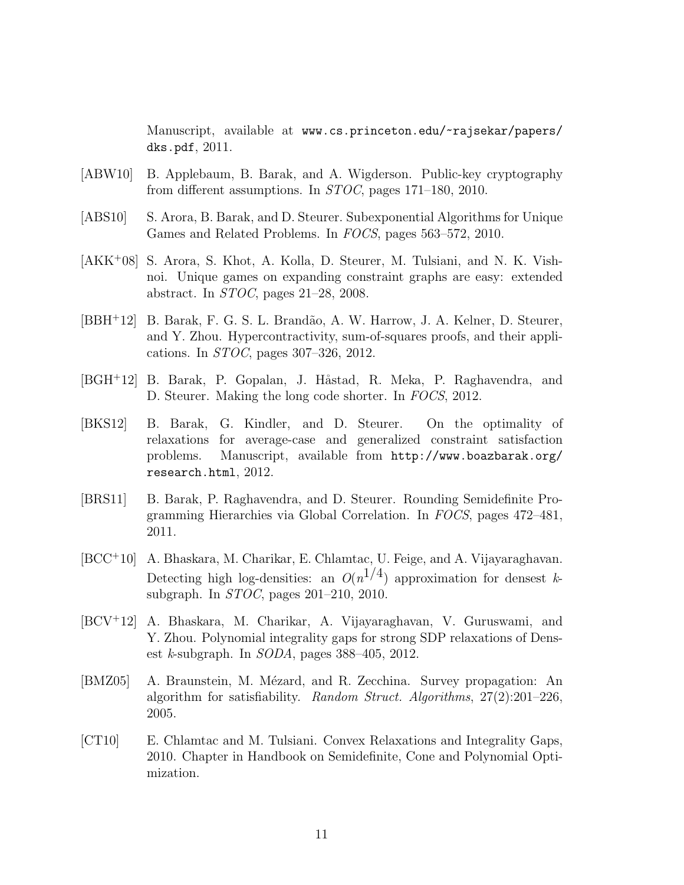Manuscript, available at www.cs.princeton.edu/~rajsekar/papers/ dks.pdf, 2011.

- [ABW10] B. Applebaum, B. Barak, and A. Wigderson. Public-key cryptography from different assumptions. In STOC, pages 171–180, 2010.
- [ABS10] S. Arora, B. Barak, and D. Steurer. Subexponential Algorithms for Unique Games and Related Problems. In FOCS, pages 563–572, 2010.
- [AKK<sup>+</sup>08] S. Arora, S. Khot, A. Kolla, D. Steurer, M. Tulsiani, and N. K. Vishnoi. Unique games on expanding constraint graphs are easy: extended abstract. In STOC, pages 21–28, 2008.
- [BBH<sup>+</sup>12] B. Barak, F. G. S. L. Brand˜ao, A. W. Harrow, J. A. Kelner, D. Steurer, and Y. Zhou. Hypercontractivity, sum-of-squares proofs, and their applications. In STOC, pages 307–326, 2012.
- [BGH+12] B. Barak, P. Gopalan, J. Håstad, R. Meka, P. Raghavendra, and D. Steurer. Making the long code shorter. In FOCS, 2012.
- [BKS12] B. Barak, G. Kindler, and D. Steurer. On the optimality of relaxations for average-case and generalized constraint satisfaction problems. Manuscript, available from http://www.boazbarak.org/ research.html, 2012.
- [BRS11] B. Barak, P. Raghavendra, and D. Steurer. Rounding Semidefinite Programming Hierarchies via Global Correlation. In FOCS, pages 472–481, 2011.
- [BCC<sup>+</sup>10] A. Bhaskara, M. Charikar, E. Chlamtac, U. Feige, and A. Vijayaraghavan. Detecting high log-densities: an  $O(n^{1/4})$  approximation for densest ksubgraph. In STOC, pages 201–210, 2010.
- [BCV<sup>+</sup>12] A. Bhaskara, M. Charikar, A. Vijayaraghavan, V. Guruswami, and Y. Zhou. Polynomial integrality gaps for strong SDP relaxations of Densest *k*-subgraph. In  $SODA$ , pages  $388-405$ , 2012.
- [BMZ05] A. Braunstein, M. Mézard, and R. Zecchina. Survey propagation: An algorithm for satisfiability. Random Struct. Algorithms, 27(2):201–226, 2005.
- [CT10] E. Chlamtac and M. Tulsiani. Convex Relaxations and Integrality Gaps, 2010. Chapter in Handbook on Semidefinite, Cone and Polynomial Optimization.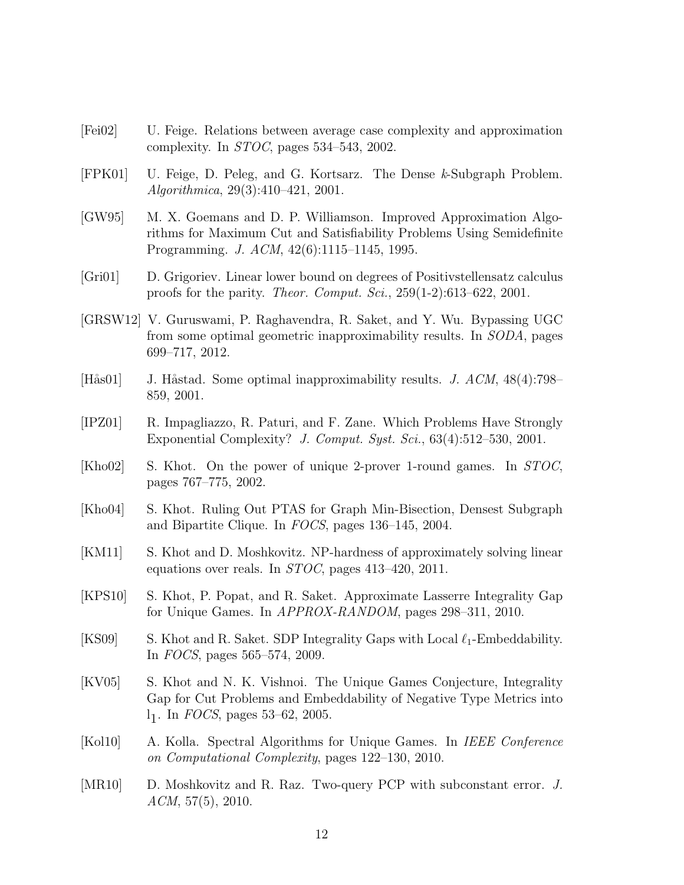- [Fei02] U. Feige. Relations between average case complexity and approximation complexity. In STOC, pages 534–543, 2002.
- [FPK01] U. Feige, D. Peleg, and G. Kortsarz. The Dense k-Subgraph Problem. Algorithmica, 29(3):410–421, 2001.
- [GW95] M. X. Goemans and D. P. Williamson. Improved Approximation Algorithms for Maximum Cut and Satisfiability Problems Using Semidefinite Programming. J. ACM, 42(6):1115–1145, 1995.
- [Gri01] D. Grigoriev. Linear lower bound on degrees of Positivstellensatz calculus proofs for the parity. Theor. Comput. Sci., 259(1-2):613–622, 2001.
- [GRSW12] V. Guruswami, P. Raghavendra, R. Saket, and Y. Wu. Bypassing UGC from some optimal geometric inapproximability results. In SODA, pages 699–717, 2012.
- [Hås01] J. Håstad. Some optimal inapproximability results. J.  $ACM$ ,  $48(4)$ :798– 859, 2001.
- [IPZ01] R. Impagliazzo, R. Paturi, and F. Zane. Which Problems Have Strongly Exponential Complexity? J. Comput. Syst. Sci., 63(4):512–530, 2001.
- [Kho02] S. Khot. On the power of unique 2-prover 1-round games. In STOC, pages 767–775, 2002.
- [Kho04] S. Khot. Ruling Out PTAS for Graph Min-Bisection, Densest Subgraph and Bipartite Clique. In FOCS, pages 136–145, 2004.
- [KM11] S. Khot and D. Moshkovitz. NP-hardness of approximately solving linear equations over reals. In STOC, pages 413–420, 2011.
- [KPS10] S. Khot, P. Popat, and R. Saket. Approximate Lasserre Integrality Gap for Unique Games. In APPROX-RANDOM, pages 298–311, 2010.
- [KS09] S. Khot and R. Saket. SDP Integrality Gaps with Local  $\ell_1$ -Embeddability. In FOCS, pages 565–574, 2009.
- [KV05] S. Khot and N. K. Vishnoi. The Unique Games Conjecture, Integrality Gap for Cut Problems and Embeddability of Negative Type Metrics into  $l_1$ . In *FOCS*, pages 53–62, 2005.
- [Kol10] A. Kolla. Spectral Algorithms for Unique Games. In IEEE Conference on Computational Complexity, pages 122–130, 2010.
- [MR10] D. Moshkovitz and R. Raz. Two-query PCP with subconstant error. J.  $ACM$ , 57(5), 2010.